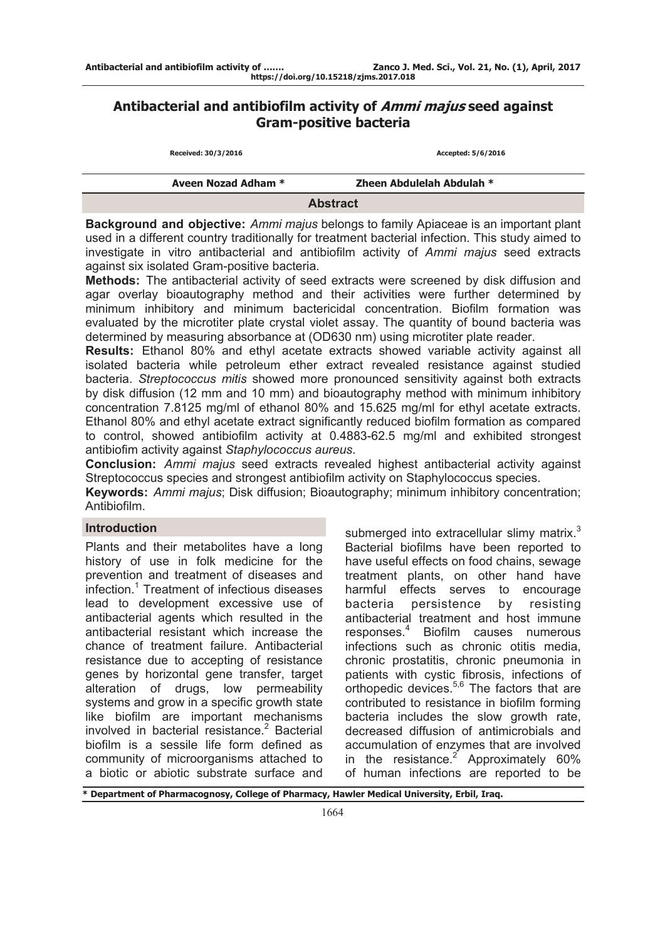# **Antibacterial and antibiofilm activity of Ammi majus seed against Gram-positive bacteria**

| Received: 30/3/2016 | Accepted: 5/6/2016        |
|---------------------|---------------------------|
| Aveen Nozad Adham * | Zheen Abdulelah Abdulah * |
|                     | <b>Abstract</b>           |

**Background and objective:** *Ammi majus* belongs to family Apiaceae is an important plant used in a different country traditionally for treatment bacterial infection. This study aimed to investigate in vitro antibacterial and antibiofilm activity of *Ammi majus* seed extracts against six isolated Gram-positive bacteria.

**Methods:** The antibacterial activity of seed extracts were screened by disk diffusion and agar overlay bioautography method and their activities were further determined by minimum inhibitory and minimum bactericidal concentration. Biofilm formation was evaluated by the microtiter plate crystal violet assay. The quantity of bound bacteria was determined by measuring absorbance at (OD630 nm) using microtiter plate reader.

**Results:** Ethanol 80% and ethyl acetate extracts showed variable activity against all isolated bacteria while petroleum ether extract revealed resistance against studied bacteria. *Streptococcus mitis* showed more pronounced sensitivity against both extracts by disk diffusion (12 mm and 10 mm) and bioautography method with minimum inhibitory concentration 7.8125 mg/ml of ethanol 80% and 15.625 mg/ml for ethyl acetate extracts. Ethanol 80% and ethyl acetate extract significantly reduced biofilm formation as compared to control, showed antibiofilm activity at 0.4883-62.5 mg/ml and exhibited strongest antibiofim activity against *Staphylococcus aureus*.

**Conclusion:** *Ammi majus* seed extracts revealed highest antibacterial activity against Streptococcus species and strongest antibiofilm activity on Staphylococcus species.

**Keywords:** *Ammi majus*; Disk diffusion; Bioautography; minimum inhibitory concentration; Antibiofilm.

# **Introduction**

Plants and their metabolites have a long history of use in folk medicine for the prevention and treatment of diseases and infection.<sup>1</sup> Treatment of infectious diseases lead to development excessive use of antibacterial agents which resulted in the antibacterial resistant which increase the chance of treatment failure. Antibacterial resistance due to accepting of resistance genes by horizontal gene transfer, target alteration of drugs, low permeability systems and grow in a specific growth state like biofilm are important mechanisms involved in bacterial resistance.<sup>2</sup> Bacterial biofilm is a sessile life form defined as community of microorganisms attached to a biotic or abiotic substrate surface and

submerged into extracellular slimy matrix. $3$ Bacterial biofilms have been reported to have useful effects on food chains, sewage treatment plants, on other hand have harmful effects serves to encourage bacteria persistence by resisting antibacterial treatment and host immune responses.<sup>4</sup> Biofilm causes numerous infections such as chronic otitis media, chronic prostatitis, chronic pneumonia in patients with cystic fibrosis, infections of orthopedic devices.<sup>5,6</sup> The factors that are contributed to resistance in biofilm forming bacteria includes the slow growth rate, decreased diffusion of antimicrobials and accumulation of enzymes that are involved in the resistance.<sup>2</sup> Approximately 60% of human infections are reported to be

**\* Department of Pharmacognosy, College of Pharmacy, Hawler Medical University, Erbil, Iraq.**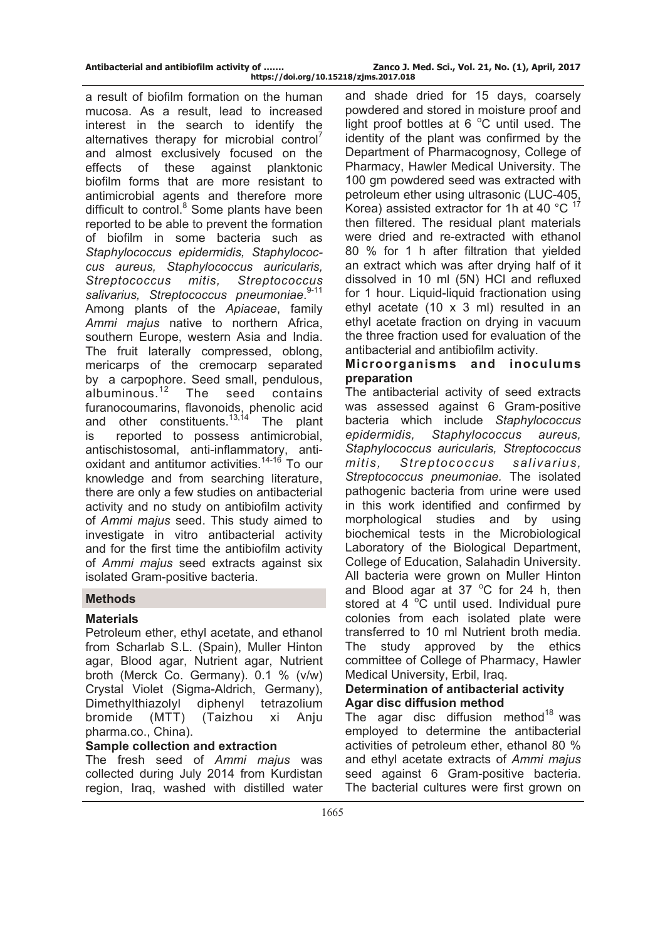**Antibacterial and antibiofilm activity of ……. Zanco J. Med. Sci., Vol. 21, No. (1), April, 2017 https://doi.org/10.15218/zjms.2017.018**

a result of biofilm formation on the human mucosa. As a result, lead to increased interest in the search to identify the alternatives therapy for microbial control<sup>7</sup> and almost exclusively focused on the effects of these against planktonic biofilm forms that are more resistant to antimicrobial agents and therefore more difficult to control.<sup>8</sup> Some plants have been reported to be able to prevent the formation of biofilm in some bacteria such as *Staphylococcus epidermidis, Staphylococcus aureus, Staphylococcus auricularis, Streptococcus mitis, Streptococcus*  salivarius, Streptococcus pneumoniae.<sup>9-11</sup> Among plants of the *Apiaceae*, family *Ammi majus* native to northern Africa, southern Europe, western Asia and India. The fruit laterally compressed, oblong, mericarps of the cremocarp separated by a carpophore. Seed small, pendulous, albuminous.<sup>12</sup> The seed contains furanocoumarins, flavonoids, phenolic acid and other constituents. $13,14$  The plant is reported to possess antimicrobial, antischistosomal, anti-inflammatory, antioxidant and antitumor activities.<sup>14-16</sup> To our knowledge and from searching literature, there are only a few studies on antibacterial activity and no study on antibiofilm activity of *Ammi majus* seed. This study aimed to investigate in vitro antibacterial activity and for the first time the antibiofilm activity of *Ammi majus* seed extracts against six isolated Gram-positive bacteria.

### **Methods**

### **Materials**

Petroleum ether, ethyl acetate, and ethanol from Scharlab S.L. (Spain), Muller Hinton agar, Blood agar, Nutrient agar, Nutrient broth (Merck Co. Germany). 0.1 % (v/w) Crystal Violet (Sigma-Aldrich, Germany), Dimethylthiazolyl diphenyl tetrazolium bromide (MTT) (Taizhou xi Anju pharma.co., China).

### **Sample collection and extraction**

The fresh seed of *Ammi majus* was collected during July 2014 from Kurdistan region, Iraq, washed with distilled water

and shade dried for 15 days, coarsely powdered and stored in moisture proof and light proof bottles at 6  $^{\circ}$ C until used. The identity of the plant was confirmed by the Department of Pharmacognosy, College of Pharmacy, Hawler Medical University. The 100 gm powdered seed was extracted with petroleum ether using ultrasonic (LUC-405, Korea) assisted extractor for 1h at 40  $^{\circ}$ C  $^{17}$ then filtered. The residual plant materials were dried and re-extracted with ethanol 80 % for 1 h after filtration that yielded an extract which was after drying half of it dissolved in 10 ml (5N) HCl and refluxed for 1 hour. Liquid-liquid fractionation using ethyl acetate (10 x 3 ml) resulted in an ethyl acetate fraction on drying in vacuum the three fraction used for evaluation of the antibacterial and antibiofilm activity.

# **Microorganisms and inoculums preparation**

The antibacterial activity of seed extracts was assessed against 6 Gram-positive bacteria which include *Staphylococcus epidermidis, Staphylococcus aureus, Staphylococcus auricularis, Streptococcus mitis, Streptococcus salivarius, Streptococcus pneumoniae.* The isolated pathogenic bacteria from urine were used in this work identified and confirmed by morphological studies and by using biochemical tests in the Microbiological Laboratory of the Biological Department, College of Education, Salahadin University. All bacteria were grown on Muller Hinton and Blood agar at  $37^{\circ}$ C for 24 h, then stored at 4  $\mathrm{°C}$  until used. Individual pure colonies from each isolated plate were transferred to 10 ml Nutrient broth media. The study approved by the ethics committee of College of Pharmacy, Hawler Medical University, Erbil, Iraq.

## **Determination of antibacterial activity Agar disc diffusion method**

The agar disc diffusion method<sup>18</sup> was employed to determine the antibacterial activities of petroleum ether, ethanol 80 % and ethyl acetate extracts of *Ammi majus* seed against 6 Gram-positive bacteria. The bacterial cultures were first grown on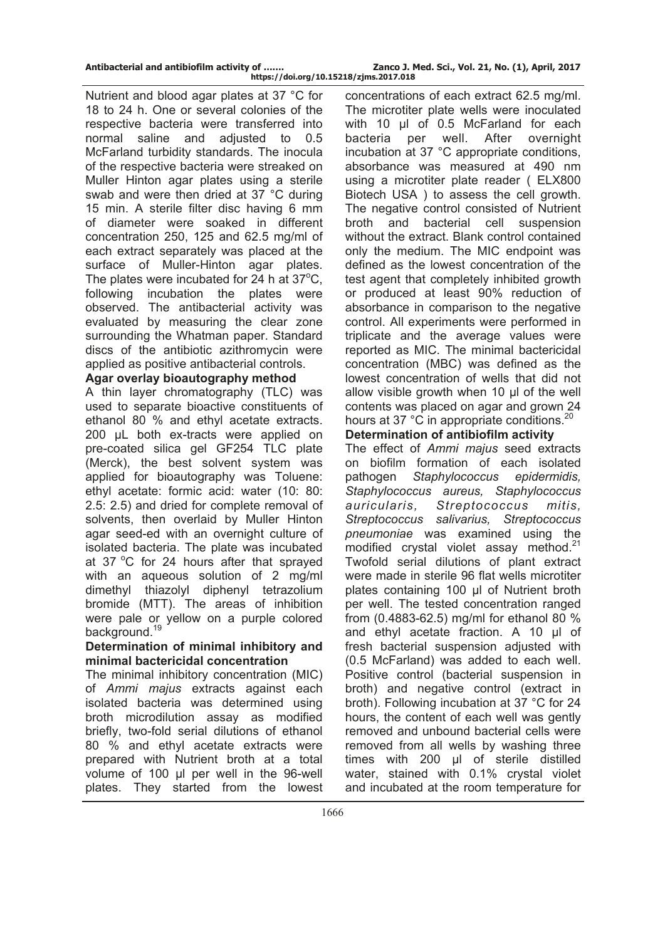Nutrient and blood agar plates at 37 °C for 18 to 24 h. One or several colonies of the respective bacteria were transferred into normal saline and adjusted to 0.5 McFarland turbidity standards. The inocula of the respective bacteria were streaked on Muller Hinton agar plates using a sterile swab and were then dried at 37 °C during 15 min. A sterile filter disc having 6 mm of diameter were soaked in different concentration 250, 125 and 62.5 mg/ml of each extract separately was placed at the surface of Muller-Hinton agar plates. The plates were incubated for  $24$  h at  $37^{\circ}$ C, following incubation the plates were observed. The antibacterial activity was evaluated by measuring the clear zone surrounding the Whatman paper. Standard discs of the antibiotic azithromycin were applied as positive antibacterial controls.

### **Agar overlay bioautography method**

A thin layer chromatography (TLC) was used to separate bioactive constituents of ethanol 80 % and ethyl acetate extracts. 200 μL both ex-tracts were applied on pre-coated silica gel GF254 TLC plate (Merck), the best solvent system was applied for bioautography was Toluene: ethyl acetate: formic acid: water (10: 80: 2.5: 2.5) and dried for complete removal of solvents, then overlaid by Muller Hinton agar seed-ed with an overnight culture of isolated bacteria. The plate was incubated at 37  $\degree$ C for 24 hours after that sprayed with an aqueous solution of 2 mg/ml dimethyl thiazolyl diphenyl tetrazolium bromide (MTT). The areas of inhibition were pale or yellow on a purple colored background.<sup>19</sup>

#### **Determination of minimal inhibitory and minimal bactericidal concentration**

The minimal inhibitory concentration (MIC) of *Ammi majus* extracts against each isolated bacteria was determined using broth microdilution assay as modified briefly, two-fold serial dilutions of ethanol 80 % and ethyl acetate extracts were prepared with Nutrient broth at a total volume of 100 μl per well in the 96-well plates. They started from the lowest

concentrations of each extract 62.5 mg/ml. The microtiter plate wells were inoculated with 10 μl of 0.5 McFarland for each bacteria per well. After overnight incubation at 37 °C appropriate conditions, absorbance was measured at 490 nm using a microtiter plate reader ( ELX800 Biotech USA ) to assess the cell growth. The negative control consisted of Nutrient broth and bacterial cell suspension without the extract. Blank control contained only the medium. The MIC endpoint was defined as the lowest concentration of the test agent that completely inhibited growth or produced at least 90% reduction of absorbance in comparison to the negative control. All experiments were performed in triplicate and the average values were reported as MIC. The minimal bactericidal concentration (MBC) was defined as the lowest concentration of wells that did not allow visible growth when 10 μl of the well contents was placed on agar and grown 24 hours at 37 °C in appropriate conditions.<sup>20</sup>

**Determination of antibiofilm activity**

The effect of *Ammi majus* seed extracts on biofilm formation of each isolated pathogen *Staphylococcus epidermidis, Staphylococcus aureus, Staphylococcus auricularis, Streptococcus mitis, Streptococcus salivarius, Streptococcus pneumoniae* was examined using the modified crystal violet assay method. $21$ Twofold serial dilutions of plant extract were made in sterile 96 flat wells microtiter plates containing 100 μl of Nutrient broth per well. The tested concentration ranged from (0.4883-62.5) mg/ml for ethanol 80 % and ethyl acetate fraction. A 10 μl of fresh bacterial suspension adjusted with (0.5 McFarland) was added to each well. Positive control (bacterial suspension in broth) and negative control (extract in broth). Following incubation at 37 °C for 24 hours, the content of each well was gently removed and unbound bacterial cells were removed from all wells by washing three times with 200 μl of sterile distilled water, stained with 0.1% crystal violet and incubated at the room temperature for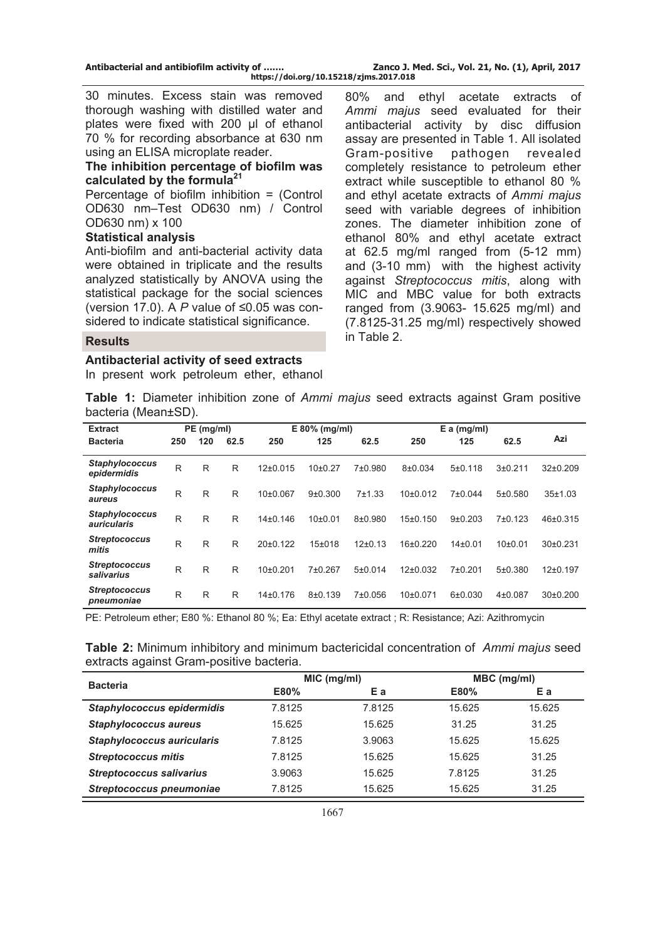30 minutes. Excess stain was removed thorough washing with distilled water and plates were fixed with 200 μl of ethanol 70 % for recording absorbance at 630 nm using an ELISA microplate reader.

#### **The inhibition percentage of biofilm was calculated by the formula<sup>21</sup>**

Percentage of biofilm inhibition = (Control OD630 nm–Test OD630 nm) / Control OD630 nm) x 100

#### **Statistical analysis**

Anti-biofilm and anti-bacterial activity data were obtained in triplicate and the results analyzed statistically by ANOVA using the statistical package for the social sciences (version 17.0). A *P* value of ≤0.05 was considered to indicate statistical significance.

80% and ethyl acetate extracts of *Ammi majus* seed evaluated for their antibacterial activity by disc diffusion assay are presented in Table 1. All isolated Gram-positive pathogen revealed completely resistance to petroleum ether extract while susceptible to ethanol 80 % and ethyl acetate extracts of *Ammi majus* seed with variable degrees of inhibition zones. The diameter inhibition zone of ethanol 80% and ethyl acetate extract at 62.5 mg/ml ranged from (5-12 mm) and (3-10 mm) with the highest activity against *Streptococcus mitis*, along with MIC and MBC value for both extracts ranged from (3.9063- 15.625 mg/ml) and (7.8125-31.25 mg/ml) respectively showed in Table 2. **Results** 

#### **Antibacterial activity of seed extracts**

In present work petroleum ether, ethanol

**Table 1:** Diameter inhibition zone of *Ammi majus* seed extracts against Gram positive bacteria (Mean±SD).

| <b>Extract</b>                       |     | PE (mg/ml) |      |                       | E 80% (mg/ml)        |            | $E$ a (mg/ml) |             |             |          |
|--------------------------------------|-----|------------|------|-----------------------|----------------------|------------|---------------|-------------|-------------|----------|
| <b>Bacteria</b>                      | 250 | 120        | 62.5 | 250                   | 125                  | 62.5       | 250           | 125         | 62.5        | Azi      |
| <b>Staphylococcus</b><br>epidermidis | R   | R          | R    | $12\pm0.015$          | 10 <sub>±</sub> 0.27 | 7±0.980    | 8±0.034       | 5±0.118     | 3±0.211     | 32±0.209 |
| <b>Staphylococcus</b><br>aureus      | R   | R          | R    | 10 <sub>±</sub> 0.067 | 9±0.300              | $7 + 1.33$ | 10±0.012      | 7±0.044     | 5±0.580     | 35±1.03  |
| <b>Staphylococcus</b><br>auricularis | R   | R          | R    | $14\pm0.146$          | 10±0.01              | $8+0.980$  | 15±0.150      | $9+0.203$   | 7±0.123     | 46±0.315 |
| <b>Streptococcus</b><br>mitis        | R   | R          | R    | 20±0.122              | $15+018$             | $12+0.13$  | 16±0.220      | $14\pm0.01$ | 10±0.01     | 30±0.231 |
| <b>Streptococcus</b><br>salivarius   | R   | R          | R    | 10±0.201              | 7±0.267              | 5±0.014    | 12±0.032      | 7±0.201     | 5±0.380     | 12±0.197 |
| <b>Streptococcus</b><br>pneumoniae   | R   | R          | R    | 14±0.176              | $8+0.139$            | 7±0.056    | $10+0.071$    | 6±0.030     | $4\pm0.087$ | 30±0.200 |

PE: Petroleum ether; E80 %: Ethanol 80 %; Ea: Ethyl acetate extract ; R: Resistance; Azi: Azithromycin

| Table 2: Minimum inhibitory and minimum bactericidal concentration of Ammi majus seed |  |  |
|---------------------------------------------------------------------------------------|--|--|
| extracts against Gram-positive bacteria.                                              |  |  |

|                                   |        | MIC (mg/ml) | MBC (mg/ml) |        |  |  |
|-----------------------------------|--------|-------------|-------------|--------|--|--|
| <b>Bacteria</b>                   | E80%   | Еa          | E80%        | Еa     |  |  |
| Staphylococcus epidermidis        | 7.8125 | 7.8125      | 15.625      | 15.625 |  |  |
| <b>Staphylococcus aureus</b>      | 15.625 | 15.625      | 31.25       | 31.25  |  |  |
| <b>Staphylococcus auricularis</b> | 7.8125 | 3.9063      | 15.625      | 15.625 |  |  |
| <b>Streptococcus mitis</b>        | 7.8125 | 15.625      | 15.625      | 31.25  |  |  |
| <b>Streptococcus salivarius</b>   | 3.9063 | 15.625      | 7.8125      | 31.25  |  |  |
| Streptococcus pneumoniae          | 7.8125 | 15.625      | 15.625      | 31.25  |  |  |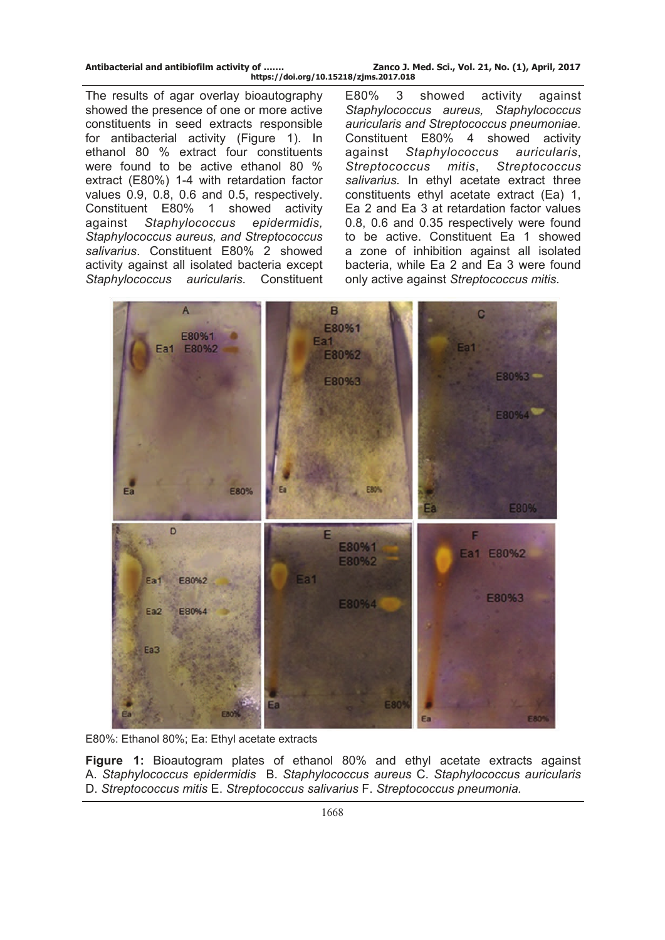The results of agar overlay bioautography showed the presence of one or more active constituents in seed extracts responsible for antibacterial activity (Figure 1). In ethanol 80 % extract four constituents were found to be active ethanol 80 % extract (E80%) 1-4 with retardation factor values 0.9, 0.8, 0.6 and 0.5, respectively. Constituent E80% 1 showed activity against *Staphylococcus epidermidis, Staphylococcus aureus, and Streptococcus salivarius*. Constituent E80% 2 showed activity against all isolated bacteria except *Staphylococcus auricularis*. Constituent E80% 3 showed activity against *Staphylococcus aureus, Staphylococcus auricularis and Streptococcus pneumoniae.*  Constituent E80% 4 showed activity against *Staphylococcus auricularis*, *Streptococcus mitis*, *Streptococcus salivarius.* In ethyl acetate extract three constituents ethyl acetate extract (Ea) 1, Ea 2 and Ea 3 at retardation factor values 0.8, 0.6 and 0.35 respectively were found to be active. Constituent Ea 1 showed a zone of inhibition against all isolated bacteria, while Ea 2 and Ea 3 were found only active against *Streptococcus mitis.*



E80%: Ethanol 80%; Ea: Ethyl acetate extracts

**Figure 1:** Bioautogram plates of ethanol 80% and ethyl acetate extracts against A. *Staphylococcus epidermidis* B. *Staphylococcus aureus* C. *Staphylococcus auricularis* D. *Streptococcus mitis* E. *Streptococcus salivarius* F. *Streptococcus pneumonia.*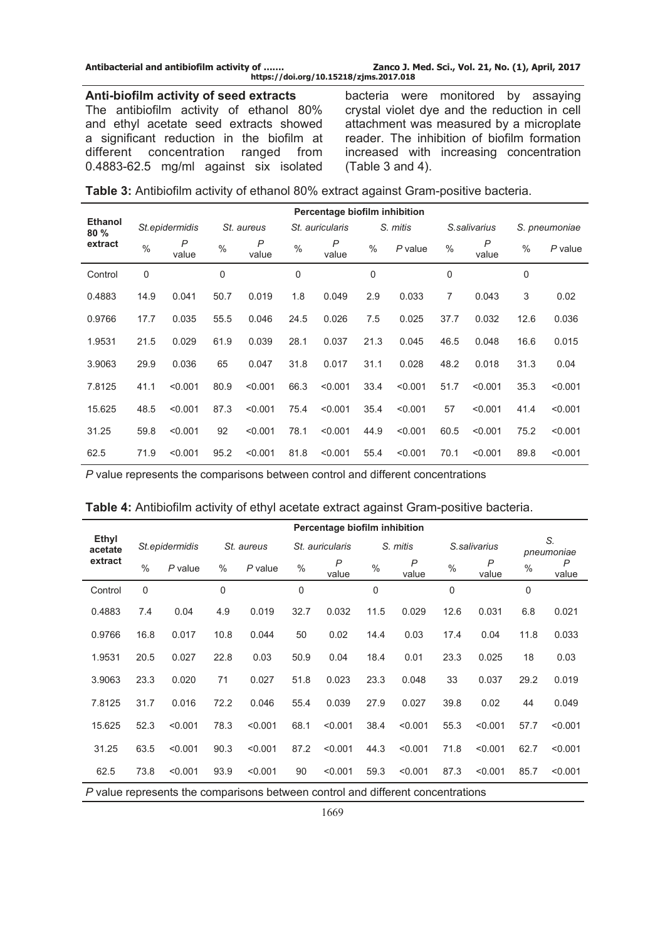**Antibacterial and antibiofilm activity of ……. Zanco J. Med. Sci., Vol. 21, No. (1), April, 2017 https://doi.org/10.15218/zjms.2017.018**

#### **Anti-biofilm activity of seed extracts**

The antibiofilm activity of ethanol 80% and ethyl acetate seed extracts showed a significant reduction in the biofilm at different concentration ranged from 0.4883-62.5 mg/ml against six isolated bacteria were monitored by assaying crystal violet dye and the reduction in cell attachment was measured by a microplate reader. The inhibition of biofilm formation increased with increasing concentration (Table 3 and 4).

| <b>Table 3:</b> Antibiofilm activity of ethanol 80% extract against Gram-positive bacteria. |  |  |  |
|---------------------------------------------------------------------------------------------|--|--|--|
|---------------------------------------------------------------------------------------------|--|--|--|

|                       | Percentage biofilm inhibition |                |               |            |      |                       |               |           |               |                         |             |               |  |
|-----------------------|-------------------------------|----------------|---------------|------------|------|-----------------------|---------------|-----------|---------------|-------------------------|-------------|---------------|--|
| <b>Ethanol</b><br>80% |                               | St.epidermidis |               | St. aureus |      | St. auricularis       |               | S. mitis  |               | S.salivarius            |             | S. pneumoniae |  |
| extract               | $\frac{0}{0}$                 | P<br>value     | $\frac{0}{0}$ | P<br>value | $\%$ | $\mathsf{P}$<br>value | $\frac{0}{0}$ | $P$ value | $\frac{0}{0}$ | $\overline{P}$<br>value | $\%$        | $P$ value     |  |
| Control               | 0                             |                | 0             |            | 0    |                       | 0             |           | 0             |                         | $\mathbf 0$ |               |  |
| 0.4883                | 14.9                          | 0.041          | 50.7          | 0.019      | 1.8  | 0.049                 | 2.9           | 0.033     | 7             | 0.043                   | 3           | 0.02          |  |
| 0.9766                | 17.7                          | 0.035          | 55.5          | 0.046      | 24.5 | 0.026                 | 7.5           | 0.025     | 37.7          | 0.032                   | 12.6        | 0.036         |  |
| 1.9531                | 21.5                          | 0.029          | 61.9          | 0.039      | 28.1 | 0.037                 | 21.3          | 0.045     | 46.5          | 0.048                   | 16.6        | 0.015         |  |
| 3.9063                | 29.9                          | 0.036          | 65            | 0.047      | 31.8 | 0.017                 | 31.1          | 0.028     | 48.2          | 0.018                   | 31.3        | 0.04          |  |
| 7.8125                | 41.1                          | < 0.001        | 80.9          | < 0.001    | 66.3 | < 0.001               | 33.4          | < 0.001   | 51.7          | < 0.001                 | 35.3        | < 0.001       |  |
| 15.625                | 48.5                          | < 0.001        | 87.3          | < 0.001    | 75.4 | < 0.001               | 35.4          | < 0.001   | 57            | < 0.001                 | 41.4        | < 0.001       |  |
| 31.25                 | 59.8                          | < 0.001        | 92            | < 0.001    | 78.1 | < 0.001               | 44.9          | < 0.001   | 60.5          | < 0.001                 | 75.2        | < 0.001       |  |
| 62.5                  | 71.9                          | < 0.001        | 95.2          | < 0.001    | 81.8 | < 0.001               | 55.4          | < 0.001   | 70.1          | < 0.001                 | 89.8        | < 0.001       |  |

*P* value represents the comparisons between control and different concentrations

| Table 4: Antibiofilm activity of ethyl acetate extract against Gram-positive bacteria. |  |
|----------------------------------------------------------------------------------------|--|
|                                                                                        |  |

|                                                                                |               |                |      | Percentage biofilm inhibition |               |                         |               |            |               |                         |             |                  |  |
|--------------------------------------------------------------------------------|---------------|----------------|------|-------------------------------|---------------|-------------------------|---------------|------------|---------------|-------------------------|-------------|------------------|--|
| Ethyl<br>acetate<br>extract                                                    |               | St.epidermidis |      | St. aureus                    |               | St. auricularis         |               | S. mitis   |               | S.salivarius            |             | S.<br>pneumoniae |  |
|                                                                                | $\frac{0}{0}$ | $P$ value      | $\%$ | $P$ value                     | $\frac{0}{0}$ | $\overline{P}$<br>value | $\frac{0}{0}$ | P<br>value | $\frac{0}{0}$ | $\overline{P}$<br>value | $\%$        | P<br>value       |  |
| Control                                                                        | $\mathbf 0$   |                | 0    |                               | $\mathbf 0$   |                         | $\mathbf 0$   |            | $\mathbf 0$   |                         | $\mathbf 0$ |                  |  |
| 0.4883                                                                         | 7.4           | 0.04           | 4.9  | 0.019                         | 32.7          | 0.032                   | 11.5          | 0.029      | 12.6          | 0.031                   | 6.8         | 0.021            |  |
| 0.9766                                                                         | 16.8          | 0.017          | 10.8 | 0.044                         | 50            | 0.02                    | 14.4          | 0.03       | 17.4          | 0.04                    | 11.8        | 0.033            |  |
| 1.9531                                                                         | 20.5          | 0.027          | 22.8 | 0.03                          | 50.9          | 0.04                    | 18.4          | 0.01       | 23.3          | 0.025                   | 18          | 0.03             |  |
| 3.9063                                                                         | 23.3          | 0.020          | 71   | 0.027                         | 51.8          | 0.023                   | 23.3          | 0.048      | 33            | 0.037                   | 29.2        | 0.019            |  |
| 7.8125                                                                         | 31.7          | 0.016          | 72.2 | 0.046                         | 55.4          | 0.039                   | 27.9          | 0.027      | 39.8          | 0.02                    | 44          | 0.049            |  |
| 15.625                                                                         | 52.3          | < 0.001        | 78.3 | < 0.001                       | 68.1          | < 0.001                 | 38.4          | < 0.001    | 55.3          | < 0.001                 | 57.7        | < 0.001          |  |
| 31.25                                                                          | 63.5          | < 0.001        | 90.3 | < 0.001                       | 87.2          | < 0.001                 | 44.3          | < 0.001    | 71.8          | < 0.001                 | 62.7        | < 0.001          |  |
| 62.5                                                                           | 73.8          | < 0.001        | 93.9 | < 0.001                       | 90            | < 0.001                 | 59.3          | < 0.001    | 87.3          | < 0.001                 | 85.7        | < 0.001          |  |
| Duelus represente the comparisons hetween septral and different conseptrations |               |                |      |                               |               |                         |               |            |               |                         |             |                  |  |

*P* value represents the comparisons between control and different concentrations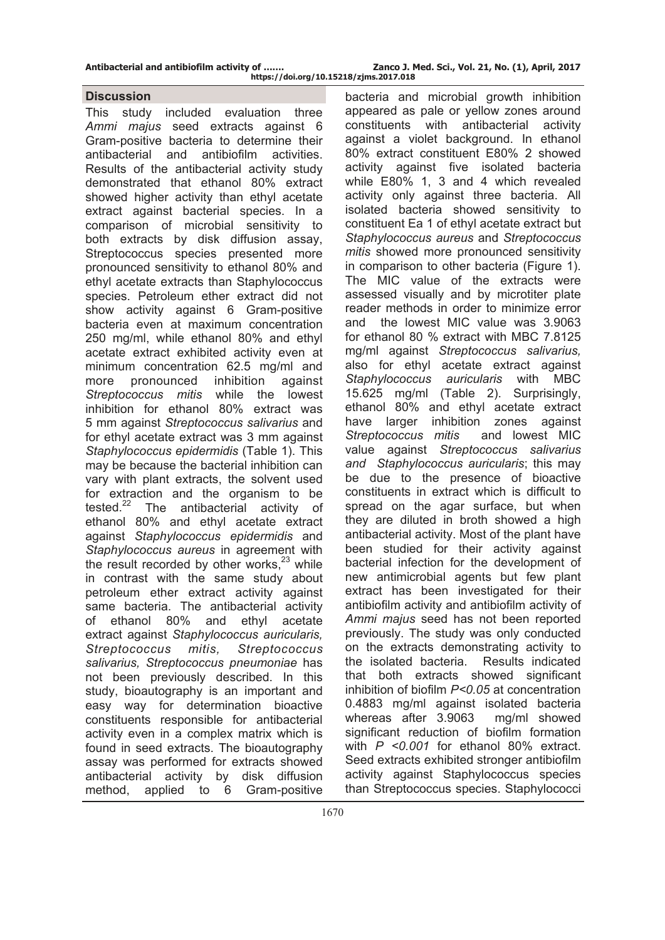#### **Discussion**

This study included evaluation three *Ammi majus* seed extracts against 6 Gram-positive bacteria to determine their antibacterial and antibiofilm activities. Results of the antibacterial activity study demonstrated that ethanol 80% extract showed higher activity than ethyl acetate extract against bacterial species. In a comparison of microbial sensitivity to both extracts by disk diffusion assay, Streptococcus species presented more pronounced sensitivity to ethanol 80% and ethyl acetate extracts than Staphylococcus species. Petroleum ether extract did not show activity against 6 Gram-positive bacteria even at maximum concentration 250 mg/ml, while ethanol 80% and ethyl acetate extract exhibited activity even at minimum concentration 62.5 mg/ml and more pronounced inhibition against *Streptococcus mitis* while the lowest inhibition for ethanol 80% extract was 5 mm against *Streptococcus salivarius* and for ethyl acetate extract was 3 mm against *Staphylococcus epidermidis* (Table 1). This may be because the bacterial inhibition can vary with plant extracts, the solvent used for extraction and the organism to be tested.22 The antibacterial activity of ethanol 80% and ethyl acetate extract against *Staphylococcus epidermidis* and *Staphylococcus aureus* in agreement with the result recorded by other works, $23$  while in contrast with the same study about petroleum ether extract activity against same bacteria. The antibacterial activity of ethanol 80% and ethyl acetate extract against *Staphylococcus auricularis, Streptococcus mitis, Streptococcus salivarius, Streptococcus pneumoniae* has not been previously described. In this study, bioautography is an important and easy way for determination bioactive constituents responsible for antibacterial activity even in a complex matrix which is found in seed extracts. The bioautography assay was performed for extracts showed antibacterial activity by disk diffusion method, applied to 6 Gram-positive

bacteria and microbial growth inhibition appeared as pale or yellow zones around constituents with antibacterial activity against a violet background. In ethanol 80% extract constituent E80% 2 showed activity against five isolated bacteria while E80% 1, 3 and 4 which revealed activity only against three bacteria. All isolated bacteria showed sensitivity to constituent Ea 1 of ethyl acetate extract but *Staphylococcus aureus* and *Streptococcus mitis* showed more pronounced sensitivity in comparison to other bacteria (Figure 1). The MIC value of the extracts were assessed visually and by microtiter plate reader methods in order to minimize error and the lowest MIC value was 3.9063 for ethanol 80 % extract with MBC 7.8125 mg/ml against *Streptococcus salivarius,*  also for ethyl acetate extract against *Staphylococcus auricularis* with MBC 15.625 mg/ml (Table 2). Surprisingly, ethanol 80% and ethyl acetate extract have larger inhibition zones against *Streptococcus mitis* and lowest MIC value against *Streptococcus salivarius and Staphylococcus auricularis*; this may be due to the presence of bioactive constituents in extract which is difficult to spread on the agar surface, but when they are diluted in broth showed a high antibacterial activity. Most of the plant have been studied for their activity against bacterial infection for the development of new antimicrobial agents but few plant extract has been investigated for their antibiofilm activity and antibiofilm activity of *Ammi majus* seed has not been reported previously. The study was only conducted on the extracts demonstrating activity to the isolated bacteria. Results indicated that both extracts showed significant inhibition of biofilm *P<0.05* at concentration 0.4883 mg/ml against isolated bacteria whereas after 3.9063 mg/ml showed significant reduction of biofilm formation with *P <0.001* for ethanol 80% extract. Seed extracts exhibited stronger antibiofilm activity against Staphylococcus species than Streptococcus species. Staphylococci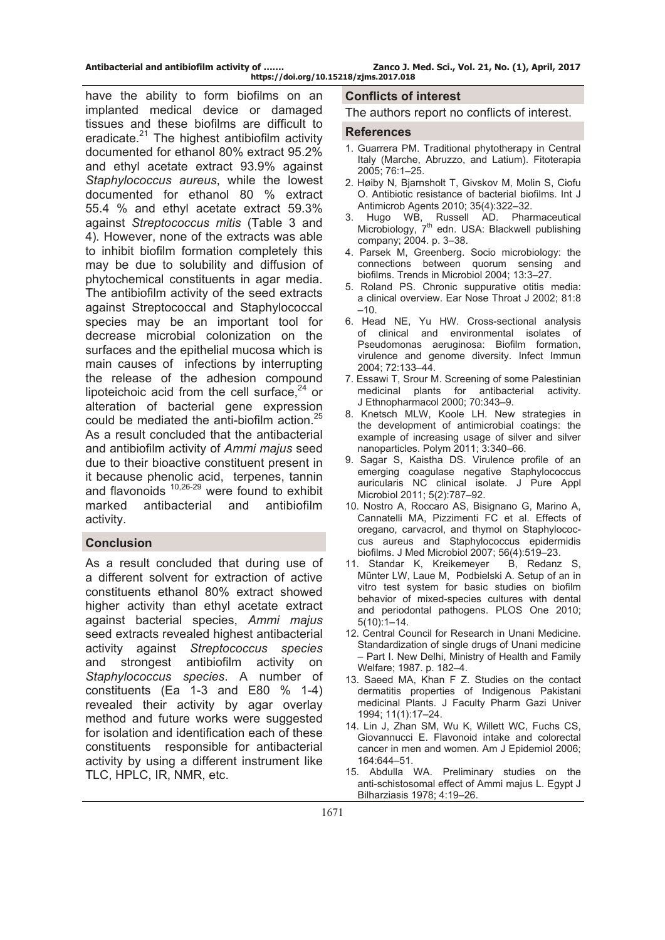have the ability to form biofilms on an implanted medical device or damaged tissues and these biofilms are difficult to eradicate. $21$  The highest antibiofilm activity documented for ethanol 80% extract 95.2% and ethyl acetate extract 93.9% against *Staphylococcus aureus*, while the lowest documented for ethanol 80 % extract 55.4 % and ethyl acetate extract 59.3% against *Streptococcus mitis* (Table 3 and 4)*.* However, none of the extracts was able to inhibit biofilm formation completely this may be due to solubility and diffusion of phytochemical constituents in agar media. The antibiofilm activity of the seed extracts against Streptococcal and Staphylococcal species may be an important tool for decrease microbial colonization on the surfaces and the epithelial mucosa which is main causes of infections by interrupting the release of the adhesion compound lipoteichoic acid from the cell surface,  $24$  or alteration of bacterial gene expression could be mediated the anti-biofilm action.<sup>25</sup> As a result concluded that the antibacterial and antibiofilm activity of *Ammi majus* seed due to their bioactive constituent present in it because phenolic acid, terpenes, tannin and flavonoids 10,26-29 were found to exhibit marked antibacterial and antibiofilm activity.

### **Conclusion**

As a result concluded that during use of a different solvent for extraction of active constituents ethanol 80% extract showed higher activity than ethyl acetate extract against bacterial species, *Ammi majus* seed extracts revealed highest antibacterial activity against *Streptococcus species*  and strongest antibiofilm activity on *Staphylococcus species*. A number of constituents (Ea 1-3 and E80 % 1-4) revealed their activity by agar overlay method and future works were suggested for isolation and identification each of these constituents responsible for antibacterial activity by using a different instrument like TLC, HPLC, IR, NMR, etc.

#### **Conflicts of interest**

The authors report no conflicts of interest.

#### **References**

- 1. Guarrera PM. Traditional phytotherapy in Central Italy (Marche, Abruzzo, and Latium). Fitoterapia 2005; 76:1–25.
- 2. Høiby N, Bjarnsholt T, Givskov M, Molin S, Ciofu O. Antibiotic resistance of bacterial biofilms. Int J Antimicrob Agents 2010; 35(4):322–32.
- 3. Hugo WB, Russell AD. Pharmaceutical Microbiology, 7<sup>th</sup> edn. USA: Blackwell publishing company; 2004. p. 3–38.
- 4. Parsek M, Greenberg. Socio microbiology: the connections between quorum sensing and biofilms. Trends in Microbiol 2004; 13:3–27.
- 5. Roland PS. Chronic suppurative otitis media: a clinical overview. Ear Nose Throat J 2002; 81:8  $-10.$
- 6. Head NE, Yu HW. Cross-sectional analysis of clinical and environmental isolates of Pseudomonas aeruginosa: Biofilm formation, virulence and genome diversity. Infect Immun 2004; 72:133–44.
- 7. Essawi T, Srour M. Screening of some Palestinian medicinal plants for antibacterial activity. J Ethnopharmacol 2000; 70:343–9.
- 8. Knetsch MLW, Koole LH. New strategies in the development of antimicrobial coatings: the example of increasing usage of silver and silver nanoparticles. Polym 2011; 3:340–66.
- 9. Sagar S, Kaistha DS. Virulence profile of an emerging coagulase negative Staphylococcus auricularis NC clinical isolate. J Pure Appl Microbiol 2011; 5(2):787–92.
- 10. Nostro A, Roccaro AS, Bisignano G, Marino A, Cannatelli MA, Pizzimenti FC et al. Effects of oregano, carvacrol, and thymol on Staphylococcus aureus and Staphylococcus epidermidis biofilms. J Med Microbiol 2007; 56(4):519–23.
- 11. [Standar](http://www.ncbi.nlm.nih.gov/pubmed/?term=Standar%20K%5Bauth%5D) K, [Kreikemeyer](http://www.ncbi.nlm.nih.gov/pubmed/?term=Kreikemeyer%20B%5Bauth%5D) B, [Redanz](http://www.ncbi.nlm.nih.gov/pubmed/?term=Redanz%20S%5Bauth%5D) S[,](http://www.ncbi.nlm.nih.gov/pubmed/?term=M%26%23x000fc%3Bnter%20WL%5Bauth%5D)  [Münter](http://www.ncbi.nlm.nih.gov/pubmed/?term=M%26%23x000fc%3Bnter%20WL%5Bauth%5D) LW, [Laue](http://www.ncbi.nlm.nih.gov/pubmed/?term=Laue%20M%5Bauth%5D) M, [Podbielski](http://www.ncbi.nlm.nih.gov/pubmed/?term=Podbielski%20A%5Bauth%5D) A. Setup of an in vitro test system for basic studies on biofilm behavior of mixed-species cultures with dental and periodontal pathogens. PLOS One 2010; 5(10):1–14.
- 12. Central Council for Research in Unani Medicine. Standardization of single drugs of Unani medicine – Part I. New Delhi, Ministry of Health and Family Welfare; 1987. p. 182–4.
- 13. Saeed MA, Khan F Z. Studies on the contact dermatitis properties of Indigenous Pakistani medicinal Plants. J Faculty Pharm Gazi Univer 1994; 11(1):17–24.
- 14. Lin J, Zhan SM, Wu K, Willett WC, Fuchs CS, Giovannucci E. Flavonoid intake and colorectal cancer in men and women. Am J Epidemiol 2006; 164:644–51.
- 15. Abdulla WA. Preliminary studies on the anti-schistosomal effect of Ammi majus L. Egypt J Bilharziasis 1978; 4:19–26.